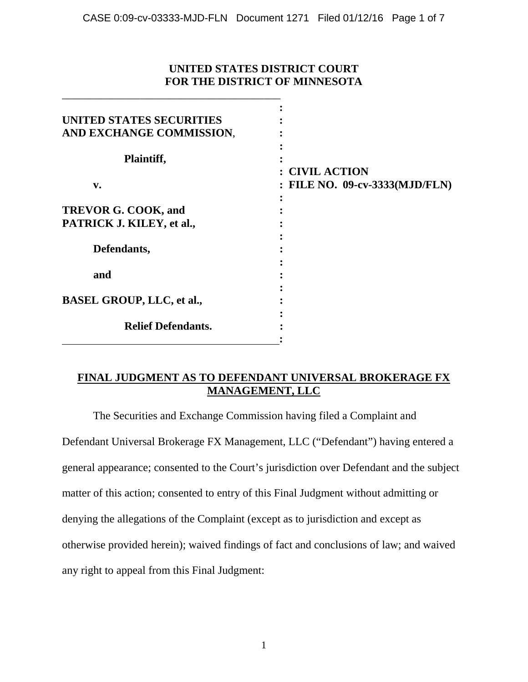## **UNITED STATES DISTRICT COURT FOR THE DISTRICT OF MINNESOTA**

\_\_\_\_\_\_\_\_\_\_\_\_\_\_\_\_\_\_\_\_\_\_\_\_\_\_\_\_\_\_\_\_\_\_\_\_\_\_\_

| UNITED STATES SECURITIES         |                                |
|----------------------------------|--------------------------------|
| AND EXCHANGE COMMISSION,         |                                |
|                                  |                                |
| Plaintiff,                       |                                |
|                                  | <b>CIVIL ACTION</b>            |
| v.                               | : FILE NO. 09-cv-3333(MJD/FLN) |
|                                  |                                |
| TREVOR G. COOK, and              |                                |
| PATRICK J. KILEY, et al.,        |                                |
|                                  |                                |
| Defendants,                      |                                |
|                                  |                                |
| and                              |                                |
|                                  |                                |
| <b>BASEL GROUP, LLC, et al.,</b> |                                |
|                                  |                                |
| <b>Relief Defendants.</b>        |                                |
|                                  |                                |

# **FINAL JUDGMENT AS TO DEFENDANT UNIVERSAL BROKERAGE FX MANAGEMENT, LLC**

The Securities and Exchange Commission having filed a Complaint and

Defendant Universal Brokerage FX Management, LLC ("Defendant") having entered a general appearance; consented to the Court's jurisdiction over Defendant and the subject matter of this action; consented to entry of this Final Judgment without admitting or denying the allegations of the Complaint (except as to jurisdiction and except as otherwise provided herein); waived findings of fact and conclusions of law; and waived any right to appeal from this Final Judgment: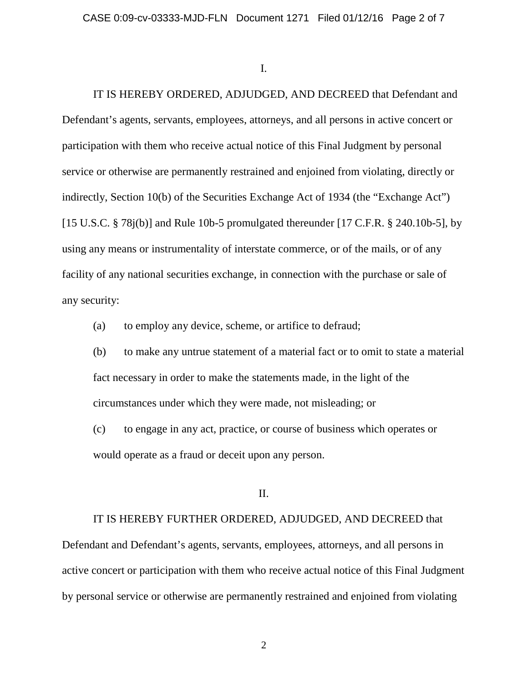I.

IT IS HEREBY ORDERED, ADJUDGED, AND DECREED that Defendant and Defendant's agents, servants, employees, attorneys, and all persons in active concert or participation with them who receive actual notice of this Final Judgment by personal service or otherwise are permanently restrained and enjoined from violating, directly or indirectly, Section 10(b) of the Securities Exchange Act of 1934 (the "Exchange Act") [15 U.S.C.  $\S$  78j(b)] and Rule 10b-5 promulgated thereunder [17 C.F.R.  $\S$  240.10b-5], by using any means or instrumentality of interstate commerce, or of the mails, or of any facility of any national securities exchange, in connection with the purchase or sale of any security:

(a) to employ any device, scheme, or artifice to defraud;

(b) to make any untrue statement of a material fact or to omit to state a material fact necessary in order to make the statements made, in the light of the circumstances under which they were made, not misleading; or

(c) to engage in any act, practice, or course of business which operates or would operate as a fraud or deceit upon any person.

II.

IT IS HEREBY FURTHER ORDERED, ADJUDGED, AND DECREED that

Defendant and Defendant's agents, servants, employees, attorneys, and all persons in active concert or participation with them who receive actual notice of this Final Judgment by personal service or otherwise are permanently restrained and enjoined from violating

2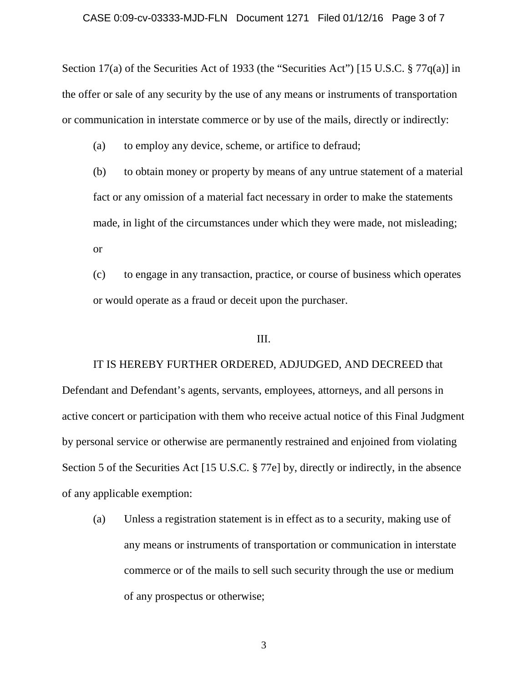Section 17(a) of the Securities Act of 1933 (the "Securities Act") [15 U.S.C. § 77q(a)] in the offer or sale of any security by the use of any means or instruments of transportation or communication in interstate commerce or by use of the mails, directly or indirectly:

(a) to employ any device, scheme, or artifice to defraud;

(b) to obtain money or property by means of any untrue statement of a material fact or any omission of a material fact necessary in order to make the statements made, in light of the circumstances under which they were made, not misleading; or

(c) to engage in any transaction, practice, or course of business which operates or would operate as a fraud or deceit upon the purchaser.

### III.

IT IS HEREBY FURTHER ORDERED, ADJUDGED, AND DECREED that Defendant and Defendant's agents, servants, employees, attorneys, and all persons in active concert or participation with them who receive actual notice of this Final Judgment by personal service or otherwise are permanently restrained and enjoined from violating Section 5 of the Securities Act [15 U.S.C. § 77e] by, directly or indirectly, in the absence of any applicable exemption:

(a) Unless a registration statement is in effect as to a security, making use of any means or instruments of transportation or communication in interstate commerce or of the mails to sell such security through the use or medium of any prospectus or otherwise;

3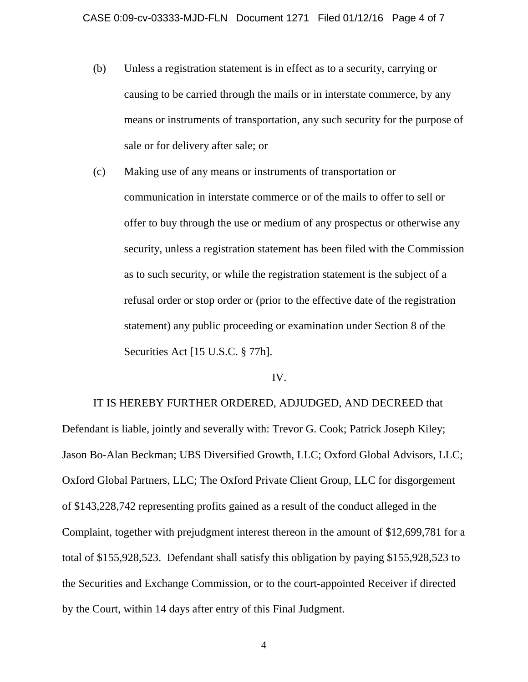- (b) Unless a registration statement is in effect as to a security, carrying or causing to be carried through the mails or in interstate commerce, by any means or instruments of transportation, any such security for the purpose of sale or for delivery after sale; or
- (c) Making use of any means or instruments of transportation or communication in interstate commerce or of the mails to offer to sell or offer to buy through the use or medium of any prospectus or otherwise any security, unless a registration statement has been filed with the Commission as to such security, or while the registration statement is the subject of a refusal order or stop order or (prior to the effective date of the registration statement) any public proceeding or examination under Section 8 of the Securities Act [15 U.S.C. § 77h].

#### IV.

IT IS HEREBY FURTHER ORDERED, ADJUDGED, AND DECREED that Defendant is liable, jointly and severally with: Trevor G. Cook; Patrick Joseph Kiley; Jason Bo-Alan Beckman; UBS Diversified Growth, LLC; Oxford Global Advisors, LLC; Oxford Global Partners, LLC; The Oxford Private Client Group, LLC for disgorgement of \$143,228,742 representing profits gained as a result of the conduct alleged in the Complaint, together with prejudgment interest thereon in the amount of \$12,699,781 for a total of \$155,928,523. Defendant shall satisfy this obligation by paying \$155,928,523 to the Securities and Exchange Commission, or to the court-appointed Receiver if directed by the Court, within 14 days after entry of this Final Judgment.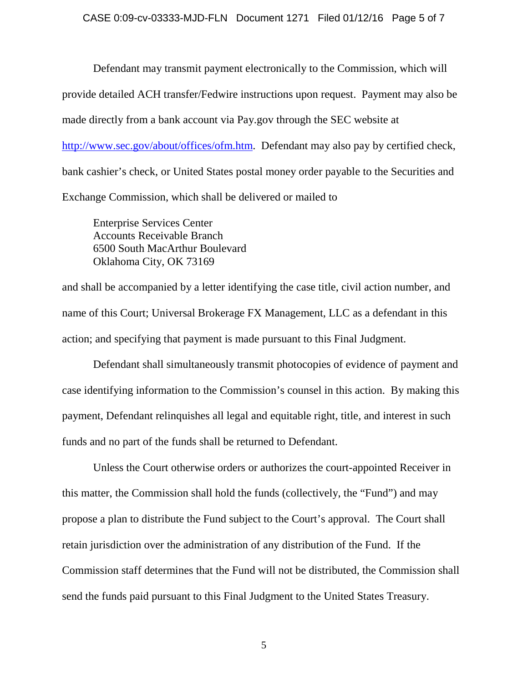#### CASE 0:09-cv-03333-MJD-FLN Document 1271 Filed 01/12/16 Page 5 of 7

Defendant may transmit payment electronically to the Commission, which will provide detailed ACH transfer/Fedwire instructions upon request. Payment may also be made directly from a bank account via Pay.gov through the SEC website at [http://www.sec.gov/about/offices/ofm.htm.](http://www.sec.gov/about/offices/ofm.htm) Defendant may also pay by certified check, bank cashier's check, or United States postal money order payable to the Securities and Exchange Commission, which shall be delivered or mailed to

Enterprise Services Center Accounts Receivable Branch 6500 South MacArthur Boulevard Oklahoma City, OK 73169

and shall be accompanied by a letter identifying the case title, civil action number, and name of this Court; Universal Brokerage FX Management, LLC as a defendant in this action; and specifying that payment is made pursuant to this Final Judgment.

Defendant shall simultaneously transmit photocopies of evidence of payment and case identifying information to the Commission's counsel in this action. By making this payment, Defendant relinquishes all legal and equitable right, title, and interest in such funds and no part of the funds shall be returned to Defendant.

Unless the Court otherwise orders or authorizes the court-appointed Receiver in this matter, the Commission shall hold the funds (collectively, the "Fund") and may propose a plan to distribute the Fund subject to the Court's approval. The Court shall retain jurisdiction over the administration of any distribution of the Fund. If the Commission staff determines that the Fund will not be distributed, the Commission shall send the funds paid pursuant to this Final Judgment to the United States Treasury.

5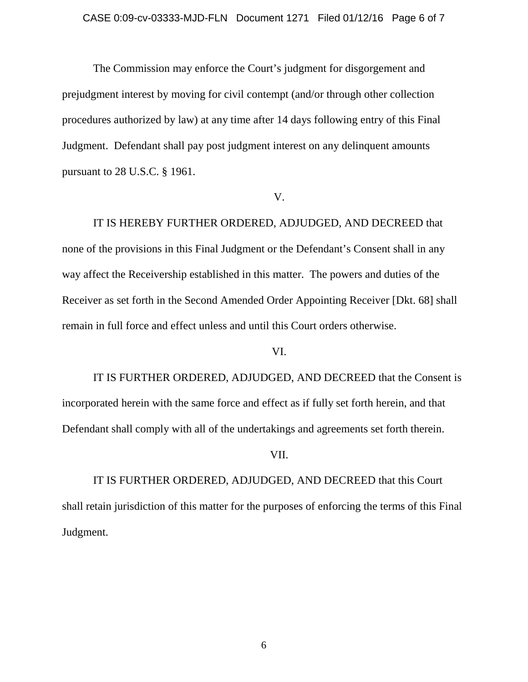The Commission may enforce the Court's judgment for disgorgement and prejudgment interest by moving for civil contempt (and/or through other collection procedures authorized by law) at any time after 14 days following entry of this Final Judgment. Defendant shall pay post judgment interest on any delinquent amounts pursuant to 28 U.S.C. § 1961.

#### V.

IT IS HEREBY FURTHER ORDERED, ADJUDGED, AND DECREED that none of the provisions in this Final Judgment or the Defendant's Consent shall in any way affect the Receivership established in this matter. The powers and duties of the Receiver as set forth in the Second Amended Order Appointing Receiver [Dkt. 68] shall remain in full force and effect unless and until this Court orders otherwise.

### VI.

IT IS FURTHER ORDERED, ADJUDGED, AND DECREED that the Consent is incorporated herein with the same force and effect as if fully set forth herein, and that Defendant shall comply with all of the undertakings and agreements set forth therein.

### VII.

IT IS FURTHER ORDERED, ADJUDGED, AND DECREED that this Court shall retain jurisdiction of this matter for the purposes of enforcing the terms of this Final Judgment.